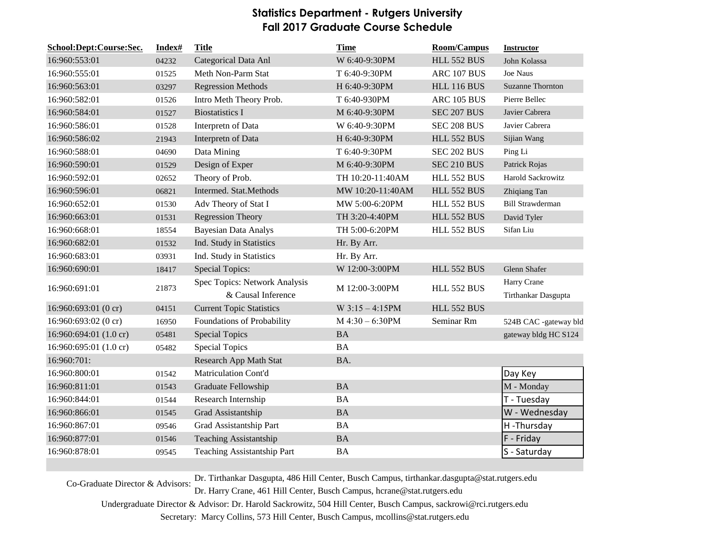## **Statistics Department - Rutgers University Fall 2017 Graduate Course Schedule**

| School:Dept:Course:Sec. | Index# | <b>Title</b>                                        | <b>Time</b>       | <b>Room/Campus</b> | <b>Instructor</b>                  |
|-------------------------|--------|-----------------------------------------------------|-------------------|--------------------|------------------------------------|
| 16:960:553:01           | 04232  | Categorical Data Anl                                | W 6:40-9:30PM     | <b>HLL 552 BUS</b> | John Kolassa                       |
| 16:960:555:01           | 01525  | Meth Non-Parm Stat                                  | T 6:40-9:30PM     | ARC 107 BUS        | Joe Naus                           |
| 16:960:563:01           | 03297  | <b>Regression Methods</b>                           | H 6:40-9:30PM     | <b>HLL 116 BUS</b> | <b>Suzanne Thornton</b>            |
| 16:960:582:01           | 01526  | Intro Meth Theory Prob.                             | T 6:40-930PM      | ARC 105 BUS        | Pierre Bellec                      |
| 16:960:584:01           | 01527  | <b>Biostatistics I</b>                              | M 6:40-9:30PM     | <b>SEC 207 BUS</b> | Javier Cabrera                     |
| 16:960:586:01           | 01528  | Interpretn of Data                                  | W 6:40-9:30PM     | SEC 208 BUS        | Javier Cabrera                     |
| 16:960:586:02           | 21943  | Interpretn of Data                                  | H 6:40-9:30PM     | <b>HLL 552 BUS</b> | Sijian Wang                        |
| 16:960:588:01           | 04690  | Data Mining                                         | T 6:40-9:30PM     | SEC 202 BUS        | Ping Li                            |
| 16:960:590:01           | 01529  | Design of Exper                                     | M 6:40-9:30PM     | SEC 210 BUS        | Patrick Rojas                      |
| 16:960:592:01           | 02652  | Theory of Prob.                                     | TH 10:20-11:40AM  | <b>HLL 552 BUS</b> | Harold Sackrowitz                  |
| 16:960:596:01           | 06821  | Intermed. Stat.Methods                              | MW 10:20-11:40AM  | <b>HLL 552 BUS</b> | Zhiqiang Tan                       |
| 16:960:652:01           | 01530  | Adv Theory of Stat I                                | MW 5:00-6:20PM    | <b>HLL 552 BUS</b> | <b>Bill Strawderman</b>            |
| 16:960:663:01           | 01531  | <b>Regression Theory</b>                            | TH 3:20-4:40PM    | <b>HLL 552 BUS</b> | David Tyler                        |
| 16:960:668:01           | 18554  | <b>Bayesian Data Analys</b>                         | TH 5:00-6:20PM    | <b>HLL 552 BUS</b> | Sifan Liu                          |
| 16:960:682:01           | 01532  | Ind. Study in Statistics                            | Hr. By Arr.       |                    |                                    |
| 16:960:683:01           | 03931  | Ind. Study in Statistics                            | Hr. By Arr.       |                    |                                    |
| 16:960:690:01           | 18417  | <b>Special Topics:</b>                              | W 12:00-3:00PM    | <b>HLL 552 BUS</b> | Glenn Shafer                       |
| 16:960:691:01           | 21873  | Spec Topics: Network Analysis<br>& Causal Inference | M 12:00-3:00PM    | <b>HLL 552 BUS</b> | Harry Crane<br>Tirthankar Dasgupta |
| 16:960:693:01 (0 cr)    | 04151  | <b>Current Topic Statistics</b>                     | $W$ 3:15 - 4:15PM | <b>HLL 552 BUS</b> |                                    |
| 16:960:693:02 (0 cr)    | 16950  | Foundations of Probability                          | $M$ 4:30 – 6:30PM | Seminar Rm         | 524B CAC -gateway bld              |
| 16:960:694:01 (1.0 cr)  | 05481  | <b>Special Topics</b>                               | <b>BA</b>         |                    | gateway bldg HC S124               |
| 16:960:695:01 (1.0 cr)  | 05482  | <b>Special Topics</b>                               | <b>BA</b>         |                    |                                    |
| 16:960:701:             |        | <b>Research App Math Stat</b>                       | BA.               |                    |                                    |
| 16:960:800:01           | 01542  | Matriculation Cont'd                                |                   |                    | Day Key                            |
| 16:960:811:01           | 01543  | Graduate Fellowship                                 | <b>BA</b>         |                    | M - Monday                         |
| 16:960:844:01           | 01544  | Research Internship                                 | <b>BA</b>         |                    | T - Tuesday                        |
| 16:960:866:01           | 01545  | Grad Assistantship                                  | <b>BA</b>         |                    | W - Wednesday                      |
| 16:960:867:01           | 09546  | Grad Assistantship Part                             | <b>BA</b>         |                    | H-Thursday                         |
| 16:960:877:01           | 01546  | <b>Teaching Assistantship</b>                       | BA                |                    | F - Friday                         |
| 16:960:878:01           | 09545  | <b>Teaching Assistantship Part</b>                  | <b>BA</b>         |                    | S - Saturday                       |

Dr. Harry Crane, 461 Hill Center, Busch Campus, hcrane@stat.rutgers.edu Co-Graduate Director & Advisors: Dr. Tirthankar Dasgupta, 486 Hill Center, Busch Campus, tirthankar.dasgupta@stat.rutgers.edu

Undergraduate Director & Advisor: Dr. Harold Sackrowitz, 504 Hill Center, Busch Campus, sackrowi@rci.rutgers.edu

Secretary: Marcy Collins, 573 Hill Center, Busch Campus, mcollins@stat.rutgers.edu